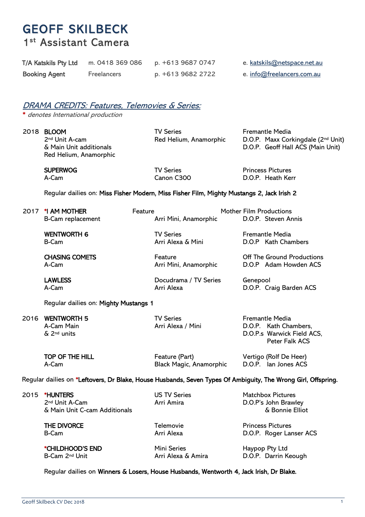# GEOFF SKILBECK 1st Assistant Camera

| T/A Katskils Pty Ltd | m. 0418 369 086    | p. +613 9687 0747 | e. katskils@netspace.net.au |
|----------------------|--------------------|-------------------|-----------------------------|
| <b>Booking Agent</b> | <b>Freelancers</b> | p. +613 9682 2722 | e. info@freelancers.com.au  |

# DRAMA CREDITS: Features, Telemovies & Series:

\* denotes International production

Red Helium, Anamorphic

2018 **BLOOM** TV Series Fremantle Media

<sup>2nd</sup> Unit A-cam **Red Helium, Anamorphic** D.O.P. Maxx Corkingdale (<sup>2nd</sup> Unit) 6 Main Unit additionals Corean Corean Contention D.O.P. Geoff Hall ACS (Main Unit)

SUPERWOG TV Series TV Series Princess Pictures<br>
A-Cam Canon C300 D.O.P. Heath Ker D.O.P. Heath Kerr

#### Regular dailies on: Miss Fisher Modern, Miss Fisher Film, Mighty Mustangs 2, Jack Irish 2

|                                                                                                               | 2017 *1 AM MOTHER                                                              | Feature                               | <b>Mother Film Productions</b>                                                                         |
|---------------------------------------------------------------------------------------------------------------|--------------------------------------------------------------------------------|---------------------------------------|--------------------------------------------------------------------------------------------------------|
|                                                                                                               | B-Cam replacement                                                              | Arri Mini, Anamorphic                 | D.O.P. Steven Annis                                                                                    |
|                                                                                                               | <b>WENTWORTH 6</b>                                                             | <b>TV Series</b>                      | <b>Fremantle Media</b>                                                                                 |
|                                                                                                               | <b>B-Cam</b>                                                                   | Arri Alexa & Mini                     | D.O.P Kath Chambers                                                                                    |
|                                                                                                               | <b>CHASING COMETS</b>                                                          | Feature                               | Off The Ground Productions                                                                             |
|                                                                                                               | A-Cam                                                                          | Arri Mini, Anamorphic                 | D.O.P Adam Howden ACS                                                                                  |
|                                                                                                               | <b>LAWLESS</b>                                                                 | Docudrama / TV Series                 | Genepool                                                                                               |
|                                                                                                               | A-Cam                                                                          | Arri Alexa                            | D.O.P. Craig Barden ACS                                                                                |
|                                                                                                               | Regular dailies on: Mighty Mustangs 1                                          |                                       |                                                                                                        |
| 2016                                                                                                          | <b>WENTWORTH 5</b><br>A-Cam Main<br>$\delta$ 2 <sup>nd</sup> units             | <b>TV Series</b><br>Arri Alexa / Mini | <b>Fremantle Media</b><br>D.O.P. Kath Chambers,<br>D.O.P.s Warwick Field ACS,<br><b>Peter Falk ACS</b> |
|                                                                                                               | TOP OF THE HILL                                                                | Feature (Part)                        | Vertigo (Rolf De Heer)                                                                                 |
|                                                                                                               | A-Cam                                                                          | Black Magic, Anamorphic               | D.O.P. lan Jones ACS                                                                                   |
| Regular dailies on *Leftovers, Dr Blake, House Husbands, Seven Types Of Ambiguity, The Wrong Girl, Offspring. |                                                                                |                                       |                                                                                                        |
| 2015                                                                                                          | <b>*HUNTERS</b><br>2 <sup>nd</sup> Unit A-Cam<br>& Main Unit C-cam Additionals | <b>US TV Series</b><br>Arri Amira     | <b>Matchbox Pictures</b><br>D.O.P's John Brawley<br>& Bonnie Elliot                                    |
|                                                                                                               | <b>THE DIVORCE</b>                                                             | Telemovie                             | <b>Princess Pictures</b>                                                                               |
|                                                                                                               | <b>B-Cam</b>                                                                   | Arri Alexa                            | D.O.P. Roger Lanser ACS                                                                                |
|                                                                                                               |                                                                                |                                       |                                                                                                        |

\***CHILDHOOD'S END** Mini Series Mini Series Haypop Pty Ltd<br>B-Cam 2<sup>nd</sup> Unit **Haypop Pty Ltd** Arri Alexa & Amira D.O.P. Darrin K D.O.P. Darrin Keough

Regular dailies on Winners & Losers, House Husbands, Wentworth 4, Jack Irish, Dr Blake.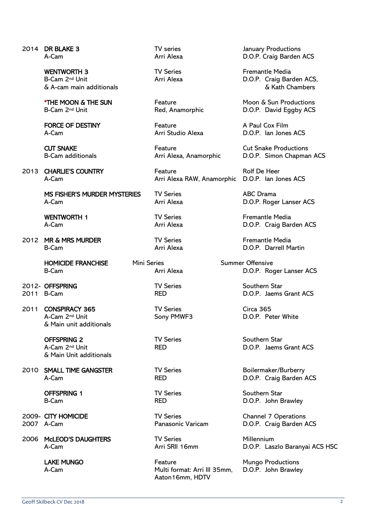| 2014 DR BLAKE 3                                                              | TV series                                                  | January Pro                            |
|------------------------------------------------------------------------------|------------------------------------------------------------|----------------------------------------|
| A-Cam                                                                        | Arri Alexa                                                 | D.O.P. Crai                            |
| <b>WENTWORTH 3</b><br>B-Cam 2 <sup>nd</sup> Unit<br>& A-cam main additionals | <b>TV Series</b><br>Arri Alexa                             | Fremantle<br>D.O.P. Cra<br>& ł         |
| <b>*THE MOON &amp; THE SUN</b>                                               | Feature                                                    | Moon & Su                              |
| B-Cam 2 <sup>nd</sup> Unit                                                   | Red, Anamorphic                                            | D.O.P. Da                              |
| <b>FORCE OF DESTINY</b>                                                      | Feature                                                    | A Paul Cox                             |
| A-Cam                                                                        | Arri Studio Alexa                                          | D.O.P. lan                             |
| <b>CUT SNAKE</b>                                                             | Feature                                                    | <b>Cut Snake</b>                       |
| <b>B-Cam additionals</b>                                                     | Arri Alexa, Anamorphic                                     | D.O.P. Sin                             |
| 2013 CHARLIE'S COUNTRY                                                       | Feature                                                    | Rolf De He                             |
| A-Cam                                                                        | Arri Alexa RAW, Anamorphic                                 | D.O.P. lan                             |
| MS FISHER'S MURDER MYSTERIES                                                 | <b>TV Series</b>                                           | <b>ABC Dram</b>                        |
| A-Cam                                                                        | Arri Alexa                                                 | D.O.P. Rog                             |
| <b>WENTWORTH 1</b>                                                           | <b>TV Series</b>                                           | Fremantle                              |
| A-Cam                                                                        | Arri Alexa                                                 | D.O.P. Cra                             |
| 2012 MR & MRS MURDER                                                         | <b>TV Series</b>                                           | Fremantle                              |
| B-Cam                                                                        | Arri Alexa                                                 | D.O.P. Da                              |
| <b>HOMICIDE FRANCHISE</b><br><b>Mini Series</b><br><b>B-Cam</b>              | Arri Alexa                                                 | <b>Summer Offensive</b><br>$D.O.P.$ Ro |
| 2012- OFFSPRING                                                              | <b>TV Series</b>                                           | Southern S                             |
| 2011 B-Cam                                                                   | <b>RED</b>                                                 | D.O.P. Jae                             |
| 2011 CONSPIRACY 365<br>A-Cam 2nd Unit<br>& Main unit additionals             | <b>TV Series</b><br>Sony PMWF3                             | Circa 365<br>D.O.P. Pet                |
| <b>OFFSPRING 2</b><br>A-Cam 2 <sup>nd</sup> Unit<br>& Main Unit additionals  | <b>TV Series</b><br><b>RED</b>                             | Southern S<br>D.O.P. Jae               |
| 2010 SMALL TIME GANGSTER                                                     | <b>TV Series</b>                                           | Boilermake                             |
| A-Cam                                                                        | <b>RED</b>                                                 | D.O.P. Cra                             |
| <b>OFFSPRING 1</b>                                                           | <b>TV Series</b>                                           | Southern S                             |
| <b>B-Cam</b>                                                                 | <b>RED</b>                                                 | D.O.P. Joh                             |
| 2009- CITY HOMICIDE                                                          | <b>TV Series</b>                                           | Channel 7                              |
| 2007 A-Cam                                                                   | Panasonic Varicam                                          | D.O.P. Cra                             |
| 2006 McLEOD'S DAUGHTERS                                                      | <b>TV Series</b>                                           | Millennium                             |
| A-Cam                                                                        | Arri SRII 16mm                                             | D.O.P. Las                             |
| <b>LAKE MUNGO</b><br>A-Cam                                                   | Feature<br>Multi format: Arri III 35mm,<br>Aaton16mm, HDTV | Mungo Pro<br>D.O.P. Joh                |
|                                                                              |                                                            |                                        |

**2013 Feature Rolf De Heer** Arri Alexa RAW, Anamorphic D.O.P. Ian Jones ACS

Feature Mungo Productions<br>
Multi format: Arri III 35mm, D.O.P. John Brawley Multi format: Arri III 35mm, Aaton16mm, HDTV

TV series<br>
2015 - Arri Alexa<br>
2015 - D.O.P. Craig Barden D.O.P. Craig Barden ACS

TV Series<br>
Arri Alexa<br>
Arri Alexa<br>
200.P. Craig Bare D.O.P. Craig Barden ACS.  $&$  Kath Chambers

Feature The Moon & Sun Productions Red, Anamorphic D.O.P. David Eggby ACS

Feature **A Paul Cox Film** Arri Studio Alexa D.O.P. Ian Jones ACS

Feature **Cut Snake Productions** Arri Alexa, Anamorphic D.O.P. Simon Chapman ACS

RIES TV Series ABC Drama Arri Alexa D.O.P. Roger Lanser ACS

> TV Series<br>
> Arri Alexa<br>
> Arri Alexa<br>
> 200.P. Craig Bar D.O.P. Craig Barden ACS

TV Series<br>
2012 Mars Media<br>
2012 MRS MEDO.P. Darrell Mars Media<br>
2012 MRS MEDO.P. Darrell Mars Media D.O.P. Darrell Martin

**Mini Series The Franchise Summer Offensive** Arri Alexa **D.O.P.** Roger Lanser ACS

> **2012- TV Series Southern Star**<br>RED **D.O.P.** Jaems D.O.P. Jaems Grant ACS

Sony PMWF3 D.O.P. Peter White

TV Series Southern Star<br>RED DOP Laems D.O.P. Jaems Grant ACS

TV Series Boilermaker/Burberry RED D.O.P. Craig Barden ACS

TV Series Southern Star RED D.O.P. John Brawley

TV Series **Channel 7 Operations** Panasonic Varicam D.O.P. Craig Barden ACS

D.O.P. Laszlo Baranyai ACS HSC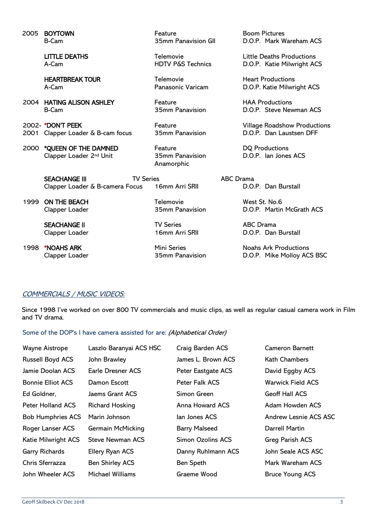|      | 2005 BOYTOWN                                                                | Feature                                  | <b>Boom Pictures</b>                          |
|------|-----------------------------------------------------------------------------|------------------------------------------|-----------------------------------------------|
|      | B-Cam                                                                       | 35mm Panavision GII                      | D.O.P. Mark Wareham ACS                       |
|      | <b>LITTLE DEATHS</b>                                                        | Telemovie                                | <b>Little Deaths Productions</b>              |
|      | A-Cam                                                                       | <b>HDTV P&amp;S Technics</b>             | D.O.P. Katie Milwright ACS                    |
|      | <b>HEARTBREAK TOUR</b>                                                      | Telemovie                                | <b>Heart Productions</b>                      |
|      | A-Cam                                                                       | <b>Panasonic Varicam</b>                 | D.O.P. Katie Milwright ACS                    |
|      | 2004 HATING ALISON ASHLEY                                                   | Feature                                  | <b>HAA Productions</b>                        |
|      | <b>B-Cam</b>                                                                | 35mm Panavision                          | D.O.P. Steve Newman ACS                       |
|      | 2002- *DON'T PEEK                                                           | Feature                                  | <b>Village Roadshow Productions</b>           |
|      | 2001 Clapper Loader & B-cam focus                                           | 35mm Panavision                          | D.O.P. Dan Laustsen DFF                       |
| 2000 | *QUEEN OF THE DAMNED<br>Clapper Loader 2nd Unit                             | Feature<br>35mm Panavision<br>Anamorphic | <b>DQ Productions</b><br>D.O.P. Ian Jones ACS |
|      | <b>TV Series</b><br><b>SEACHANGE III</b><br>Clapper Loader & B-camera Focus | 16mm Arri SRII                           | <b>ABC</b> Drama<br>D.O.P. Dan Burstall       |
| 1999 | ON THE BEACH                                                                | Telemovie                                | West St. No.6                                 |
|      | Clapper Loader                                                              | 35mm Panavision                          | D.O.P. Martin McGrath ACS                     |
|      | <b>SEACHANGE II</b>                                                         | <b>TV Series</b>                         | <b>ABC</b> Drama                              |
|      | Clapper Loader                                                              | 16mm Arri SRII                           | D.O.P. Dan Burstall                           |
| 1998 | *NOAHS ARK                                                                  | Mini Series                              | <b>Noahs Ark Productions</b>                  |
|      | Clapper Loader                                                              | 35mm Panavision                          | D.O.P. Mike Molloy ACS BSC                    |

#### COMMERCIALS / MUSIC VIDEOS:

Since 1998 I've worked on over 800 TV commercials and music clips, as well as regular casual camera work in Film and TV drama.

Some of the DOP's I have camera assisted for are: (Alphabetical Order)

| Wayne Aistrope           | Laszlo Baranyai ACS HSC | Craig Barden ACS         | <b>Cameron Barnett</b>   |
|--------------------------|-------------------------|--------------------------|--------------------------|
| <b>Russell Boyd ACS</b>  | John Brawley            | James L. Brown ACS       | <b>Kath Chambers</b>     |
| Jamie Doolan ACS         | Earle Dresner ACS       | Peter Eastgate ACS       | David Eggby ACS          |
| <b>Bonnie Elliot ACS</b> | Damon Escott            | <b>Peter Falk ACS</b>    | <b>Warwick Field ACS</b> |
| Ed Goldner,              | Jaems Grant ACS         | Simon Green              | <b>Geoff Hall ACS</b>    |
| <b>Peter Holland ACS</b> | <b>Richard Hosking</b>  | Anna Howard ACS          | Adam Howden ACS          |
| <b>Bob Humphries ACS</b> | Marin Johnson           | lan Jones ACS            | Andrew Lesnie ACS ASC    |
| Roger Lanser ACS         | Germain McMicking       | <b>Barry Malseed</b>     | Darrell Martin           |
| Katie Milwright ACS      | Steve Newman ACS        | <b>Simon Ozolins ACS</b> | Greg Parish ACS          |
| <b>Garry Richards</b>    | Ellery Ryan ACS         | Danny Ruhlmann ACS       | John Seale ACS ASC       |
| Chris Sferrazza          | <b>Ben Shirley ACS</b>  | Ben Speth                | Mark Wareham ACS         |
| John Wheeler ACS         | Michael Williams        | Graeme Wood              | <b>Bruce Young ACS</b>   |